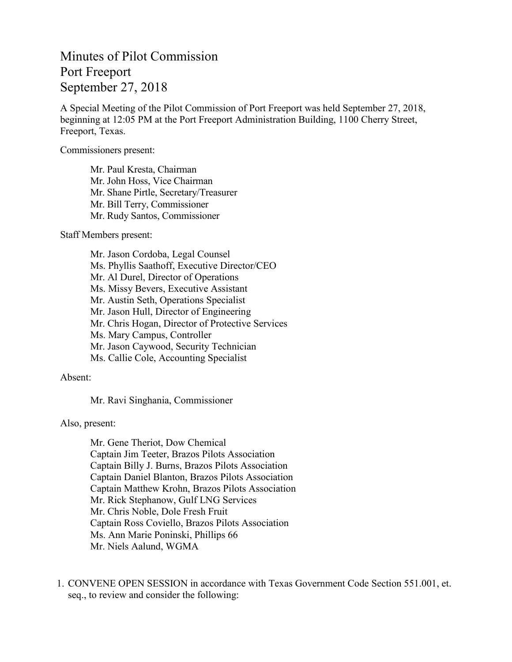## Minutes of Pilot Commission Port Freeport September 27, 2018

A Special Meeting of the Pilot Commission of Port Freeport was held September 27, 2018, beginning at 12:05 PM at the Port Freeport Administration Building, 1100 Cherry Street, Freeport, Texas.

Commissioners present:

Mr. Paul Kresta, Chairman Mr. John Hoss, Vice Chairman Mr. Shane Pirtle, Secretary/Treasurer Mr. Bill Terry, Commissioner Mr. Rudy Santos, Commissioner

Staff Members present:

Mr. Jason Cordoba, Legal Counsel Ms. Phyllis Saathoff, Executive Director/CEO Mr. Al Durel, Director of Operations Ms. Missy Bevers, Executive Assistant Mr. Austin Seth, Operations Specialist Mr. Jason Hull, Director of Engineering Mr. Chris Hogan, Director of Protective Services Ms. Mary Campus, Controller Mr. Jason Caywood, Security Technician Ms. Callie Cole, Accounting Specialist

## Absent:

Mr. Ravi Singhania, Commissioner

Also, present:

Mr. Gene Theriot, Dow Chemical Captain Jim Teeter, Brazos Pilots Association Captain Billy J. Burns, Brazos Pilots Association Captain Daniel Blanton, Brazos Pilots Association Captain Matthew Krohn, Brazos Pilots Association Mr. Rick Stephanow, Gulf LNG Services Mr. Chris Noble, Dole Fresh Fruit Captain Ross Coviello, Brazos Pilots Association Ms. Ann Marie Poninski, Phillips 66 Mr. Niels Aalund, WGMA

1. CONVENE OPEN SESSION in accordance with Texas Government Code Section 551.001, et. seq., to review and consider the following: